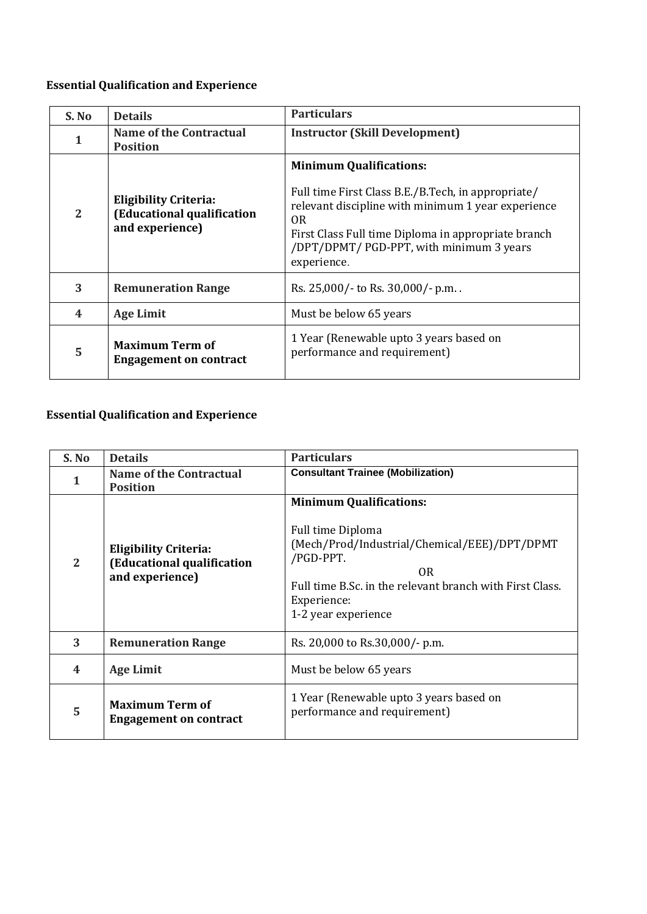# **Essential Qualification and Experience**

| S. No            | <b>Details</b>                                                                | <b>Particulars</b>                                                                                                                                                                                                                                                             |
|------------------|-------------------------------------------------------------------------------|--------------------------------------------------------------------------------------------------------------------------------------------------------------------------------------------------------------------------------------------------------------------------------|
| $\mathbf{1}$     | <b>Name of the Contractual</b><br><b>Position</b>                             | <b>Instructor (Skill Development)</b>                                                                                                                                                                                                                                          |
| $\overline{2}$   | <b>Eligibility Criteria:</b><br>(Educational qualification<br>and experience) | <b>Minimum Qualifications:</b><br>Full time First Class B.E./B.Tech, in appropriate/<br>relevant discipline with minimum 1 year experience<br>0 <sub>R</sub><br>First Class Full time Diploma in appropriate branch<br>/DPT/DPMT/ PGD-PPT, with minimum 3 years<br>experience. |
| 3                | <b>Remuneration Range</b>                                                     | Rs. 25,000/- to Rs. 30,000/- p.m.                                                                                                                                                                                                                                              |
| $\boldsymbol{4}$ | <b>Age Limit</b>                                                              | Must be below 65 years                                                                                                                                                                                                                                                         |
| 5                | <b>Maximum Term of</b><br><b>Engagement on contract</b>                       | 1 Year (Renewable upto 3 years based on<br>performance and requirement)                                                                                                                                                                                                        |

# **Essential Qualification and Experience**

| S. No | <b>Details</b>                                                                | <b>Particulars</b>                                                                                                                                                                                                       |
|-------|-------------------------------------------------------------------------------|--------------------------------------------------------------------------------------------------------------------------------------------------------------------------------------------------------------------------|
|       | Name of the Contractual<br><b>Position</b>                                    | <b>Consultant Trainee (Mobilization)</b>                                                                                                                                                                                 |
| 2     | <b>Eligibility Criteria:</b><br>(Educational qualification<br>and experience) | <b>Minimum Qualifications:</b><br>Full time Diploma<br>(Mech/Prod/Industrial/Chemical/EEE)/DPT/DPMT<br>/PGD-PPT.<br>0R<br>Full time B.Sc. in the relevant branch with First Class.<br>Experience:<br>1-2 year experience |
| 3     | <b>Remuneration Range</b>                                                     | Rs. 20,000 to Rs. 30,000/- p.m.                                                                                                                                                                                          |
| 4     | <b>Age Limit</b>                                                              | Must be below 65 years                                                                                                                                                                                                   |
| 5     | <b>Maximum Term of</b><br><b>Engagement on contract</b>                       | 1 Year (Renewable upto 3 years based on<br>performance and requirement)                                                                                                                                                  |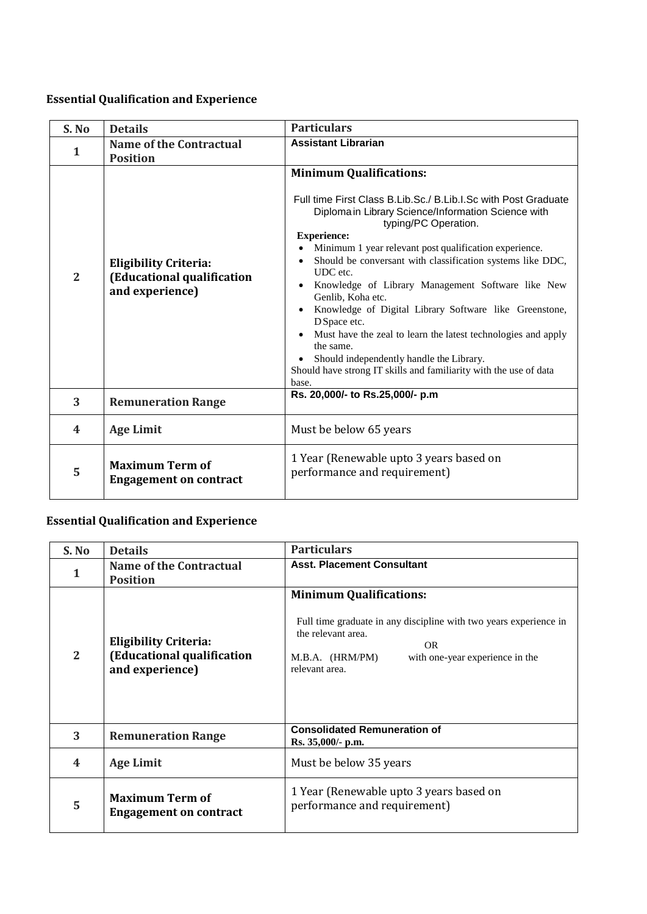### **Essential Qualification and Experience**

| S. No          | <b>Details</b>                                                                | <b>Particulars</b>                                                                                                                                                                                                                                                                                                                                                                                                                                                                                                                                                                                                                                                                                                                           |
|----------------|-------------------------------------------------------------------------------|----------------------------------------------------------------------------------------------------------------------------------------------------------------------------------------------------------------------------------------------------------------------------------------------------------------------------------------------------------------------------------------------------------------------------------------------------------------------------------------------------------------------------------------------------------------------------------------------------------------------------------------------------------------------------------------------------------------------------------------------|
| 1              | <b>Name of the Contractual</b><br><b>Position</b>                             | <b>Assistant Librarian</b>                                                                                                                                                                                                                                                                                                                                                                                                                                                                                                                                                                                                                                                                                                                   |
| $\overline{2}$ | <b>Eligibility Criteria:</b><br>(Educational qualification<br>and experience) | <b>Minimum Qualifications:</b><br>Full time First Class B.Lib.Sc./ B.Lib.I.Sc with Post Graduate<br>Diploma in Library Science/Information Science with<br>typing/PC Operation.<br><b>Experience:</b><br>Minimum 1 year relevant post qualification experience.<br>Should be conversant with classification systems like DDC,<br>$\bullet$<br>UDC etc.<br>Knowledge of Library Management Software like New<br>$\bullet$<br>Genlib, Koha etc.<br>Knowledge of Digital Library Software like Greenstone,<br>D Space etc.<br>Must have the zeal to learn the latest technologies and apply<br>$\bullet$<br>the same.<br>Should independently handle the Library.<br>Should have strong IT skills and familiarity with the use of data<br>base. |
| 3              | <b>Remuneration Range</b>                                                     | Rs. 20,000/- to Rs.25,000/- p.m                                                                                                                                                                                                                                                                                                                                                                                                                                                                                                                                                                                                                                                                                                              |
| 4              | <b>Age Limit</b>                                                              | Must be below 65 years                                                                                                                                                                                                                                                                                                                                                                                                                                                                                                                                                                                                                                                                                                                       |
| 5              | <b>Maximum Term of</b><br><b>Engagement on contract</b>                       | 1 Year (Renewable upto 3 years based on<br>performance and requirement)                                                                                                                                                                                                                                                                                                                                                                                                                                                                                                                                                                                                                                                                      |

# **Essential Qualification and Experience**

| S. No                   | <b>Details</b>                                                                | <b>Particulars</b>                                                                                                                                                                                             |
|-------------------------|-------------------------------------------------------------------------------|----------------------------------------------------------------------------------------------------------------------------------------------------------------------------------------------------------------|
|                         | Name of the Contractual<br><b>Position</b>                                    | <b>Asst. Placement Consultant</b>                                                                                                                                                                              |
| 2                       | <b>Eligibility Criteria:</b><br>(Educational qualification<br>and experience) | <b>Minimum Qualifications:</b><br>Full time graduate in any discipline with two years experience in<br>the relevant area.<br><b>OR</b><br>M.B.A. (HRM/PM)<br>with one-year experience in the<br>relevant area. |
| 3                       | <b>Remuneration Range</b>                                                     | <b>Consolidated Remuneration of</b><br>Rs. 35,000/- p.m.                                                                                                                                                       |
| $\overline{\mathbf{4}}$ | <b>Age Limit</b>                                                              | Must be below 35 years                                                                                                                                                                                         |
| 5                       | <b>Maximum Term of</b><br><b>Engagement on contract</b>                       | 1 Year (Renewable upto 3 years based on<br>performance and requirement)                                                                                                                                        |